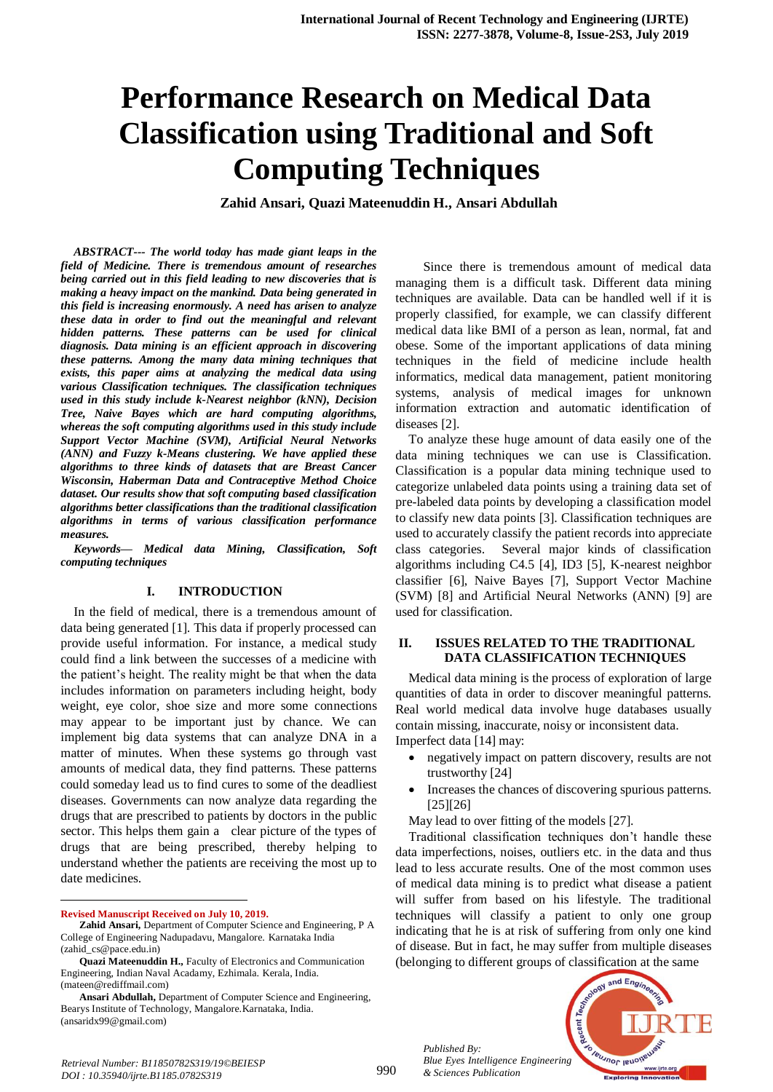# **Performance Research on Medical Data Classification using Traditional and Soft Computing Techniques**

**Zahid Ansari, Quazi Mateenuddin H., Ansari Abdullah**

*ABSTRACT--- The world today has made giant leaps in the field of Medicine. There is tremendous amount of researches being carried out in this field leading to new discoveries that is making a heavy impact on the mankind. Data being generated in this field is increasing enormously. A need has arisen to analyze these data in order to find out the meaningful and relevant hidden patterns. These patterns can be used for clinical diagnosis. Data mining is an efficient approach in discovering these patterns. Among the many data mining techniques that exists, this paper aims at analyzing the medical data using various Classification techniques. The classification techniques used in this study include k-Nearest neighbor (kNN), Decision Tree, Naive Bayes which are hard computing algorithms, whereas the soft computing algorithms used in this study include Support Vector Machine (SVM), Artificial Neural Networks (ANN) and Fuzzy k-Means clustering. We have applied these algorithms to three kinds of datasets that are Breast Cancer Wisconsin, Haberman Data and Contraceptive Method Choice dataset. Our results show that soft computing based classification algorithms better classifications than the traditional classification algorithms in terms of various classification performance measures.*

*Keywords— Medical data Mining, Classification, Soft computing techniques*

#### **I. INTRODUCTION**

In the field of medical, there is a tremendous amount of data being generated [1]. This data if properly processed can provide useful information. For instance, a medical study could find a link between the successes of a medicine with the patient's height. The reality might be that when the data includes information on parameters including height, body weight, eye color, shoe size and more some connections may appear to be important just by chance. We can implement big data systems that can analyze DNA in a matter of minutes. When these systems go through vast amounts of medical data, they find patterns. These patterns could someday lead us to find cures to some of the deadliest diseases. Governments can now analyze data regarding the drugs that are prescribed to patients by doctors in the public sector. This helps them gain a clear picture of the types of drugs that are being prescribed, thereby helping to understand whether the patients are receiving the most up to date medicines.

**Revised Manuscript Received on July 10, 2019.**

 $\ddot{\phantom{a}}$ 

Since there is tremendous amount of medical data managing them is a difficult task. Different data mining techniques are available. Data can be handled well if it is properly classified, for example, we can classify different medical data like BMI of a person as lean, normal, fat and obese. Some of the important applications of data mining techniques in the field of medicine include health informatics, medical data management, patient monitoring systems, analysis of medical images for unknown information extraction and automatic identification of diseases [2].

To analyze these huge amount of data easily one of the data mining techniques we can use is Classification. Classification is a popular data mining technique used to categorize unlabeled data points using a training data set of pre-labeled data points by developing a classification model to classify new data points [3]. Classification techniques are used to accurately classify the patient records into appreciate class categories. Several major kinds of classification algorithms including C4.5 [4], ID3 [5], K-nearest neighbor classifier [6], Naive Bayes [7], Support Vector Machine (SVM) [8] and Artificial Neural Networks (ANN) [9] are used for classification.

#### **II. ISSUES RELATED TO THE TRADITIONAL DATA CLASSIFICATION TECHNIQUES**

Medical data mining is the process of exploration of large quantities of data in order to discover meaningful patterns. Real world medical data involve huge databases usually contain missing, inaccurate, noisy or inconsistent data. Imperfect data [14] may:

- negatively impact on pattern discovery, results are not trustworthy [24]
- Increases the chances of discovering spurious patterns. [25][26]

May lead to over fitting of the models [27].

Traditional classification techniques don't handle these data imperfections, noises, outliers etc. in the data and thus lead to less accurate results. One of the most common uses of medical data mining is to predict what disease a patient will suffer from based on his lifestyle. The traditional techniques will classify a patient to only one group indicating that he is at risk of suffering from only one kind of disease. But in fact, he may suffer from multiple diseases (belonging to different groups of classification at the same



*Published By:*

**Zahid Ansari,** Department of Computer Science and Engineering, P A College of Engineering Nadupadavu, Mangalore. Karnataka India (zahid\_cs@pace.edu.in)

**Quazi Mateenuddin H.,** Faculty of Electronics and Communication Engineering, Indian Naval Acadamy, Ezhimala. Kerala, India. (mateen@rediffmail.com)

**Ansari Abdullah,** Department of Computer Science and Engineering, Bearys Institute of Technology, Mangalore.Karnataka, India. (ansaridx99@gmail.com)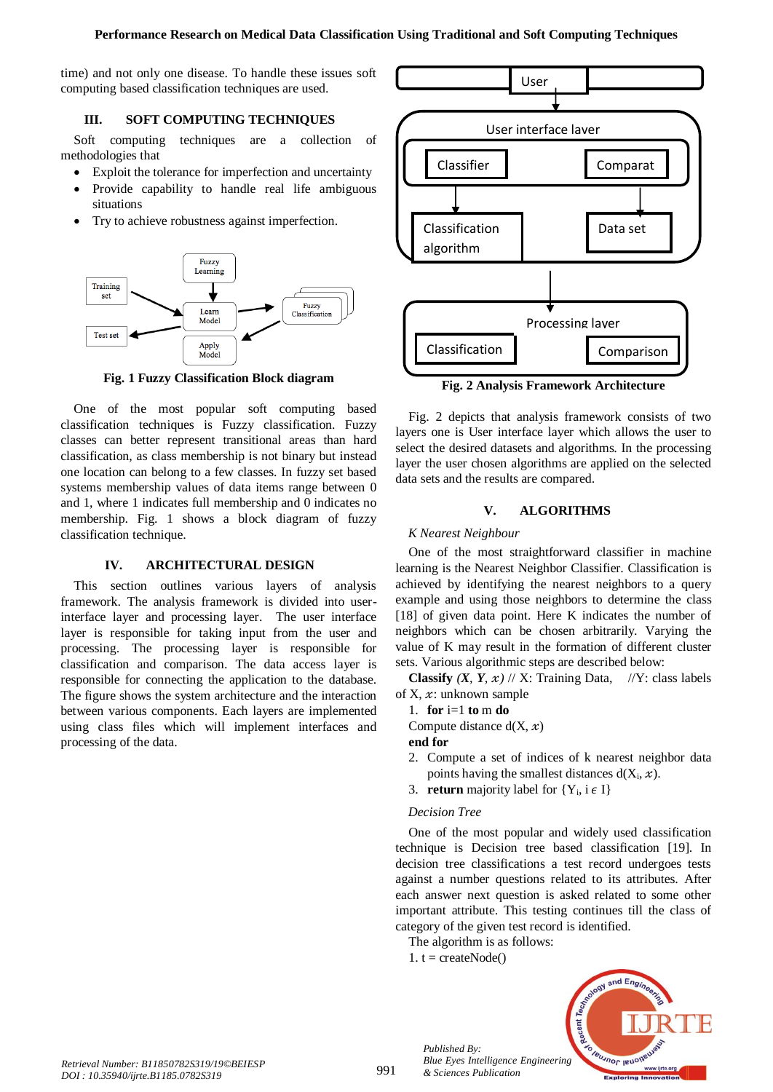time) and not only one disease. To handle these issues soft computing based classification techniques are used.

# **III. SOFT COMPUTING TECHNIQUES**

Soft computing techniques are a collection of methodologies that

- Exploit the tolerance for imperfection and uncertainty
- Provide capability to handle real life ambiguous situations
- Try to achieve robustness against imperfection.



**Fig. 1 Fuzzy Classification Block diagram**

One of the most popular soft computing based classification techniques is Fuzzy classification. Fuzzy classes can better represent transitional areas than hard classification, as class membership is not binary but instead one location can belong to a few classes. In fuzzy set based systems membership values of data items range between 0 and 1, where 1 indicates full membership and 0 indicates no membership. Fig. 1 shows a block diagram of fuzzy classification technique.

# **IV. ARCHITECTURAL DESIGN**

This section outlines various layers of analysis framework. The analysis framework is divided into userinterface layer and processing layer. The user interface layer is responsible for taking input from the user and processing. The processing layer is responsible for classification and comparison. The data access layer is responsible for connecting the application to the database. The figure shows the system architecture and the interaction between various components. Each layers are implemented using class files which will implement interfaces and processing of the data.



**Fig. 2 Analysis Framework Architecture**

Fig. 2 depicts that analysis framework consists of two layers one is User interface layer which allows the user to select the desired datasets and algorithms. In the processing layer the user chosen algorithms are applied on the selected data sets and the results are compared.

# **V. ALGORITHMS**

## *K Nearest Neighbour*

One of the most straightforward classifier in machine learning is the Nearest Neighbor Classifier. Classification is achieved by identifying the nearest neighbors to a query example and using those neighbors to determine the class [18] of given data point. Here K indicates the number of neighbors which can be chosen arbitrarily. Varying the value of K may result in the formation of different cluster sets. Various algorithmic steps are described below:

**Classify**  $(X, Y, x)$  // X: Training Data, //Y: class labels of X,  $x$ : unknown sample

1. **for** i=1 **to** m **do**

Compute distance  $d(X, x)$ 

- **end for**
- 2. Compute a set of indices of k nearest neighbor data points having the smallest distances  $d(X_i, x)$ .
- 3. **return** majority label for  $\{Y_i, i \in I\}$

# *Decision Tree*

One of the most popular and widely used classification technique is Decision tree based classification [19]. In decision tree classifications a test record undergoes tests against a number questions related to its attributes. After each answer next question is asked related to some other important attribute. This testing continues till the class of category of the given test record is identified.

The algorithm is as follows:

1.  $t = \text{createNode}()$ 

*Published By:*

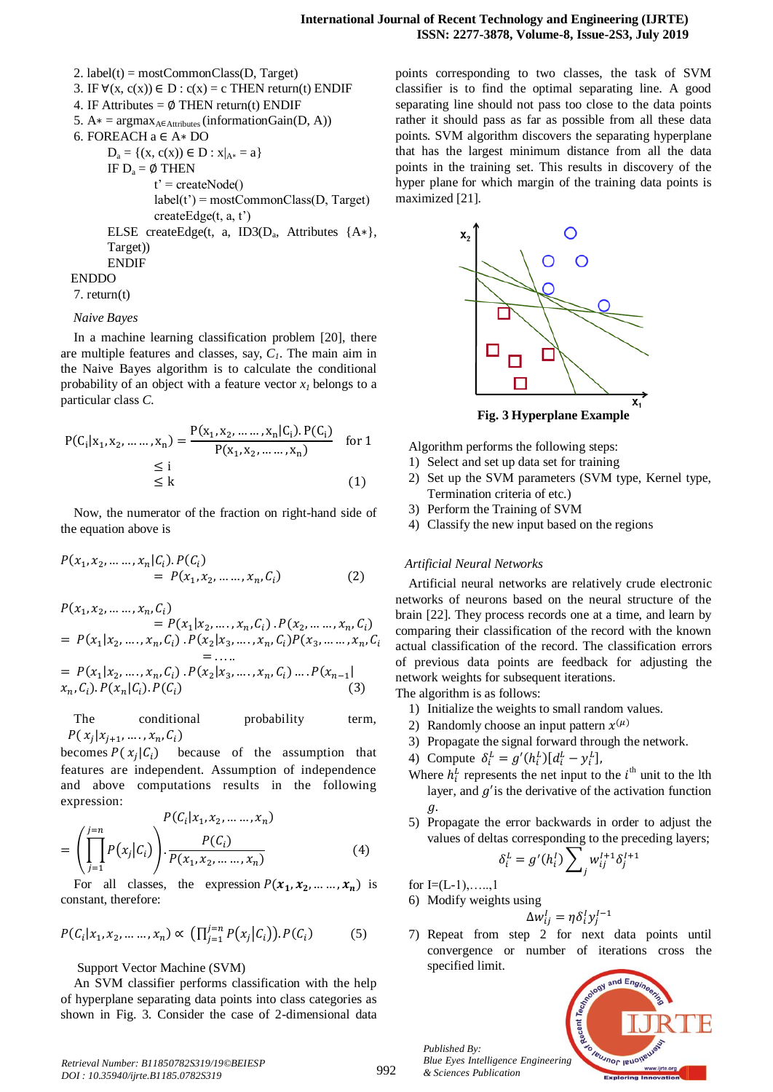2. label(t) = mostCommonClass( $D$ , Target) 3. IF  $\forall$ (x, c(x))  $\in$  D : c(x) = c THEN return(t) ENDIF 4. IF Attributes =  $\phi$  THEN return(t) ENDIF 5.  $A* = argmax_{A \in \text{Attributes}} (informationGain(D, A))$ 6. FOREACH a ∈ A∗ DO  $D_a = \{(x, c(x)) \in D : x|_{A^*} = a\}$ IF  $D_a = \emptyset$  THEN  $t'$  = createNode()  $label(t') = mostCommonClass(D, Target)$ createEdge(t, a, t') ELSE createEdge(t, a, ID3( $D_a$ , Attributes {A\*}, Target)) ENDIF ENDDO

7. return(t)

#### *Naive Bayes*

In a machine learning classification problem [20], there are multiple features and classes, say, *C1*. The main aim in the Naive Bayes algorithm is to calculate the conditional probability of an object with a feature vector  $x<sub>1</sub>$  belongs to a particular class *C.*

$$
P(C_i | x_1, x_2, \dots, x_n) = \frac{P(x_1, x_2, \dots, x_n | C_i). P(C_i)}{P(x_1, x_2, \dots, x_n)} \quad \text{for } 1
$$
  

$$
\leq i
$$
  

$$
\leq k
$$
 (1)

Now, the numerator of the fraction on right-hand side of the equation above is

$$
P(x_1, x_2, \dots, x_n | C_i). P(C_i)
$$
  
=  $P(x_1, x_2, \dots, x_n, C_i)$  (2)

$$
P(x_1, x_2, \dots, x_n, C_i)
$$
  
=  $P(x_1 | x_2, \dots, x_n, C_i) \cdot P(x_2, \dots, x_n, C_i)$   
=  $P(x_1 | x_2, \dots, x_n, C_i) \cdot P(x_2 | x_3, \dots, x_n, C_i) P(x_3, \dots, x_n, C_i)$   
= ...  
=  $P(x_1 | x_2, \dots, x_n, C_i) \cdot P(x_2 | x_3, \dots, x_n, C_i) \dots P(x_{n-1} |$   
 $x_n, C_i) \cdot P(x_n | C_i) \cdot P(C_i)$  (3)

The conditional probability term,  $[x_{i+1},...,x_n,C_i]$ 

becomes  $P(x_i)$  because of the assumption that features are independent. Assumption of independence and above computations results in the following expression:

$$
P(C_i | x_1, x_2, \dots, x_n)
$$
  
=  $\left( \prod_{j=1}^{j=n} P(x_j | C_i) \right) \cdot \frac{P(C_i)}{P(x_1, x_2, \dots, x_n)}$  (4)

For all classes, the expression  $P(x_1, x_2, ..., x_n)$  is constant, therefore:

$$
P(C_i|x_1, x_2, \dots, x_n) \propto \left(\prod_{j=1}^{j=n} P(x_j | C_i)\right). P(C_i) \tag{5}
$$

Support Vector Machine (SVM)

An SVM classifier performs classification with the help of hyperplane separating data points into class categories as shown in Fig. 3. Consider the case of 2-dimensional data

points corresponding to two classes, the task of SVM classifier is to find the optimal separating line. A good separating line should not pass too close to the data points rather it should pass as far as possible from all these data points. SVM algorithm discovers the separating hyperplane that has the largest minimum distance from all the data points in the training set. This results in discovery of the hyper plane for which margin of the training data points is maximized [21].



Algorithm performs the following steps:

- 1) Select and set up data set for training
- 2) Set up the SVM parameters (SVM type, Kernel type, Termination criteria of etc.)
- 3) Perform the Training of SVM
- 4) Classify the new input based on the regions

#### *Artificial Neural Networks*

Artificial neural networks are relatively crude electronic networks of neurons based on the neural structure of the brain [22]. They process records one at a time, and learn by comparing their classification of the record with the known actual classification of the record. The classification errors of previous data points are feedback for adjusting the network weights for subsequent iterations.

The algorithm is as follows:

- 1) Initialize the weights to small random values.
- 2) Randomly choose an input pattern  $x<sup>0</sup>$
- 3) Propagate the signal forward through the network.
- 4) Compute  $\delta_i^L = g'(h_i^L)[d_i^L y_i^L]$
- Where  $h_i^L$  represents the net input to the  $i^{\text{th}}$  unit to the lth layer, and  $g'$  is the derivative of the activation function  $\mathfrak{a}.$
- 5) Propagate the error backwards in order to adjust the values of deltas corresponding to the preceding layers;

$$
\delta_i^L = g'(h_i^I) \sum_j w_{ij}^{I+1} \delta_j^{I+1}
$$

for  $I=(L-1), \ldots, 1$ 

*Published By:*

*& Sciences Publication* 

6) Modify weights using

$$
\Delta w_{ij}^I = \eta \delta_i^I y_j^{I-1}
$$

7) Repeat from step 2 for next data points until convergence or number of iterations cross the specified limit.



*Retrieval Number: B11850782S319/19©BEIESP DOI : 10.35940/ijrte.B1185.0782S319*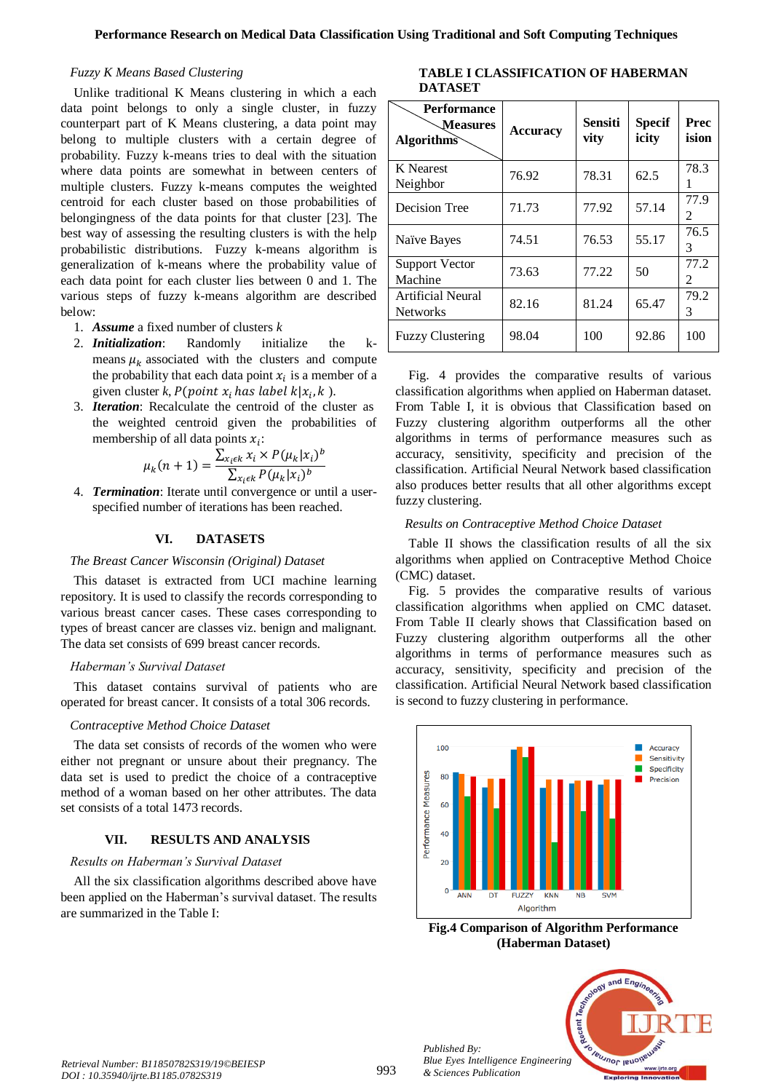#### *Fuzzy K Means Based Clustering*

Unlike traditional K Means clustering in which a each data point belongs to only a single cluster, in fuzzy counterpart part of K Means clustering, a data point may belong to multiple clusters with a certain degree of probability. Fuzzy k-means tries to deal with the situation where data points are somewhat in between centers of multiple clusters. Fuzzy k-means computes the weighted centroid for each cluster based on those probabilities of belongingness of the data points for that cluster [23]. The best way of assessing the resulting clusters is with the help probabilistic distributions. Fuzzy k-means algorithm is generalization of k-means where the probability value of each data point for each cluster lies between 0 and 1. The various steps of fuzzy k-means algorithm are described below:

- 1. *Assume* a fixed number of clusters *k*
- 2. *Initialization*: Randomly initialize the kmeans  $\mu_k$  associated with the clusters and compute the probability that each data point  $x_i$  is a member of a given cluster *k*,  $P$ (*point*  $x_i$  *has label*  $k | x_i, k$ ).
- 3. *Iteration*: Recalculate the centroid of the cluster as the weighted centroid given the probabilities of membership of all data points  $x_i$ :

$$
\mu_k(n+1) = \frac{\sum_{x_i \in k} x_i \times P(\mu_k | x_i)^b}{\sum_{x_i \in k} P(\mu_k | x_i)^b}
$$

4. *Termination*: Iterate until convergence or until a userspecified number of iterations has been reached.

#### **VI. DATASETS**

## *The Breast Cancer Wisconsin (Original) Dataset*

This dataset is extracted from UCI machine learning repository. It is used to classify the records corresponding to various breast cancer cases. These cases corresponding to types of breast cancer are classes viz. benign and malignant. The data set consists of 699 breast cancer records.

## *Haberman's Survival Dataset*

This dataset contains survival of patients who are operated for breast cancer. It consists of a total 306 records.

## *Contraceptive Method Choice Dataset*

The data set consists of records of the women who were either not pregnant or unsure about their pregnancy. The data set is used to predict the choice of a contraceptive method of a woman based on her other attributes. The data set consists of a total 1473 records.

## **VII. RESULTS AND ANALYSIS**

## *Results on Haberman's Survival Dataset*

All the six classification algorithms described above have been applied on the Haberman's survival dataset. The results are summarized in the Table I:

**TABLE I CLASSIFICATION OF HABERMAN DATASET**

| <b>Performance</b><br><b>Measures</b><br><b>Algorithms</b> | <b>Accuracy</b> | <b>Sensiti</b><br>vity | Specif<br>icity | Prec<br>ision          |
|------------------------------------------------------------|-----------------|------------------------|-----------------|------------------------|
| <b>K</b> Nearest<br>Neighbor                               | 76.92           | 78.31                  | 62.5            | 78.3                   |
| Decision Tree                                              | 71.73           | 77.92                  | 57.14           | 77.9<br>$\mathfrak{D}$ |
| Naïve Bayes                                                | 74.51           | 76.53                  | 55.17           | 76.5<br>3              |
| <b>Support Vector</b><br>Machine                           | 73.63           | 77.22                  | 50              | 77.2<br>2              |
| Artificial Neural<br><b>Networks</b>                       | 82.16           | 81.24                  | 65.47           | 79.2<br>3              |
| <b>Fuzzy Clustering</b>                                    | 98.04           | 100                    | 92.86           | 100                    |

Fig. 4 provides the comparative results of various classification algorithms when applied on Haberman dataset. From Table I, it is obvious that Classification based on Fuzzy clustering algorithm outperforms all the other algorithms in terms of performance measures such as accuracy, sensitivity, specificity and precision of the classification. Artificial Neural Network based classification also produces better results that all other algorithms except fuzzy clustering.

## *Results on Contraceptive Method Choice Dataset*

Table II shows the classification results of all the six algorithms when applied on Contraceptive Method Choice (CMC) dataset.

Fig. 5 provides the comparative results of various classification algorithms when applied on CMC dataset. From Table II clearly shows that Classification based on Fuzzy clustering algorithm outperforms all the other algorithms in terms of performance measures such as accuracy, sensitivity, specificity and precision of the classification. Artificial Neural Network based classification is second to fuzzy clustering in performance.



**Fig.4 Comparison of Algorithm Performance (Haberman Dataset)**



*Published By:*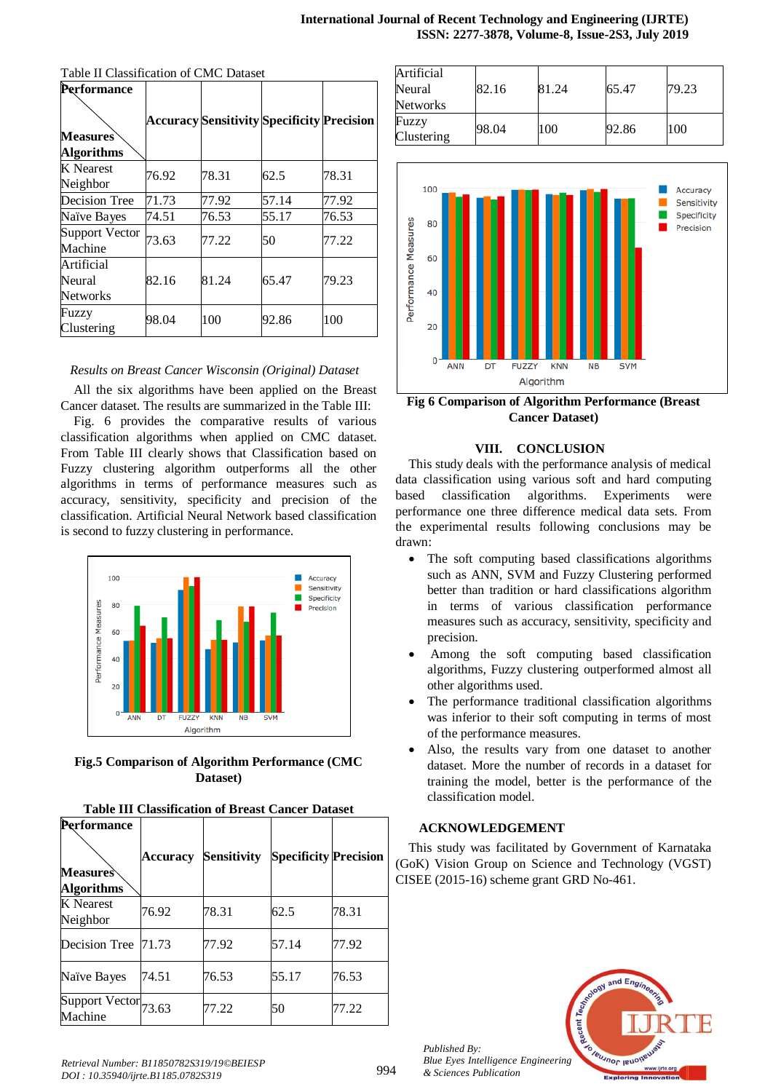| Performance                      |       |       |                                                   |       |
|----------------------------------|-------|-------|---------------------------------------------------|-------|
|                                  |       |       | <b>Accuracy Sensitivity Specificity Precision</b> |       |
| <b>Measures</b>                  |       |       |                                                   |       |
| <b>Algorithms</b>                |       |       |                                                   |       |
| <b>K</b> Nearest<br>Neighbor     | 76.92 | 78.31 | 62.5                                              | 78.31 |
| Decision Tree                    | 71.73 | 77.92 | 57.14                                             | 77.92 |
| Naïve Bayes                      | 74.51 | 76.53 | 55.17                                             | 76.53 |
| <b>Support Vector</b><br>Machine | 73.63 | 77.22 | 50                                                | 77.22 |
| Artificial                       |       |       |                                                   |       |
| Neural                           | 82.16 | 81.24 | 65.47                                             | 79.23 |
| <b>Networks</b>                  |       |       |                                                   |       |
| Fuzzy<br>Clustering              | 98.04 | 100   | 92.86                                             | 100   |

Table II Classification of CMC Dataset

# *Results on Breast Cancer Wisconsin (Original) Dataset*

All the six algorithms have been applied on the Breast Cancer dataset. The results are summarized in the Table III:

Fig. 6 provides the comparative results of various classification algorithms when applied on CMC dataset. From Table III clearly shows that Classification based on Fuzzy clustering algorithm outperforms all the other algorithms in terms of performance measures such as accuracy, sensitivity, specificity and precision of the classification. Artificial Neural Network based classification is second to fuzzy clustering in performance.



**Fig.5 Comparison of Algorithm Performance (CMC Dataset)**

| Performance<br><b>Measures</b><br><b>Algorithms</b> | <b>Accuracy</b> | <b>Sensitivity</b> | <b>Specificity Precision</b> |       |
|-----------------------------------------------------|-----------------|--------------------|------------------------------|-------|
| <b>K</b> Nearest<br>Neighbor                        | 76.92           | 78.31              | 62.5                         | 78.31 |
| Decision Tree                                       | 71.73           | 77.92              | 57.14                        | 77.92 |
| Naïve Bayes                                         | 74.51           | 76.53              | 55.17                        | 76.53 |
| Support Vector 73.63<br>Machine                     |                 | 77.22              | 50                           | 77.22 |

| Artificial<br>Neural | 82.16 | 81.24 | 65.47 | 79.23 |
|----------------------|-------|-------|-------|-------|
| <b>Networks</b>      |       |       |       |       |
| Fuzzy<br>Clustering  | 98.04 | 100   | 92.86 | 100   |

**ISSN: 2277-3878, Volume-8, Issue-2S3, July 2019**

**International Journal of Recent Technology and Engineering (IJRTE)**



**Fig 6 Comparison of Algorithm Performance (Breast Cancer Dataset)**

#### **VIII. CONCLUSION**

This study deals with the performance analysis of medical data classification using various soft and hard computing based classification algorithms. Experiments were performance one three difference medical data sets. From the experimental results following conclusions may be drawn:

- The soft computing based classifications algorithms such as ANN, SVM and Fuzzy Clustering performed better than tradition or hard classifications algorithm in terms of various classification performance measures such as accuracy, sensitivity, specificity and precision.
- Among the soft computing based classification algorithms, Fuzzy clustering outperformed almost all other algorithms used.
- The performance traditional classification algorithms was inferior to their soft computing in terms of most of the performance measures.
- Also, the results vary from one dataset to another dataset. More the number of records in a dataset for training the model, better is the performance of the classification model.

## **ACKNOWLEDGEMENT**

This study was facilitated by Government of Karnataka (GoK) Vision Group on Science and Technology (VGST) CISEE (2015-16) scheme grant GRD No-461.



*Published By: Blue Eyes Intelligence Engineering & Sciences Publication*